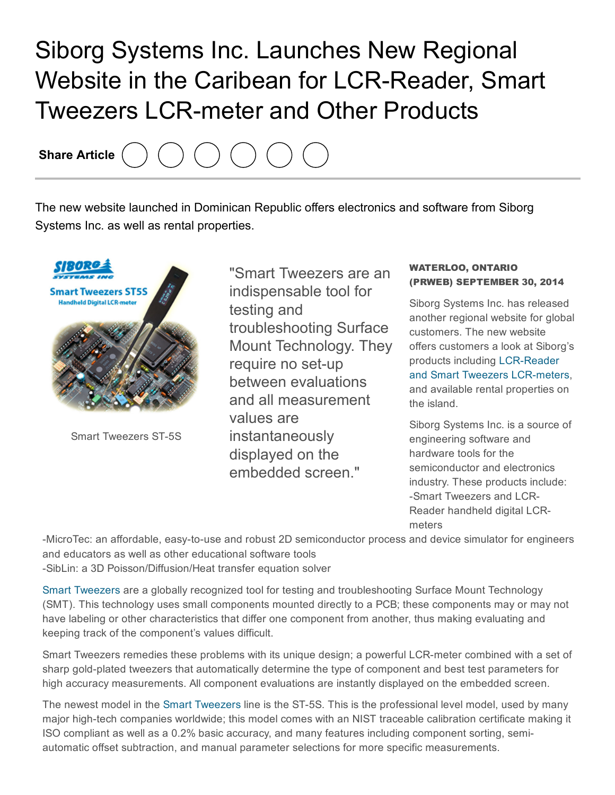## Siborg Systems Inc. Launches New Regional Website in the Caribean for LCR-Reader, Smart **Tweezers LCR-meter and Other Products**

Share Article

The new website launched in Dominican Republic offers electronics and software from Siborg Systems Inc. as well as rental properties.



Smart Tweezers ST-5S

"Smart Tweezers are an indispensable tool for testing and troubleshooting Surface Mount Technology. They require no set-up between evaluations and all measurement values are instantaneously displayed on the embedded screen."

## WATERLOO, ONTARIO (PRWEB) SEPTEMBER 30, 2014

Siborg Systems Inc. has released another regional website for global customers. The new website offers customers a look at Siborg's products including LCR-Reader and Smart Tweezers LCR-meters, and available rental properties on the island.

Siborg Systems Inc. is a source of engineering software and hardware tools for the semiconductor and electronics industry. These products include: Smart Tweezers and LCR-Reader handheld digital LCRmeters

-MicroTec: an affordable, easy-to-use and robust 2D semiconductor process and device simulator for engineers and educators as well as other educational software tools SibLin: a 3D Poisson/Diffusion/Heat transfer equation solver

Smart [Tweezers](http://www.prweb.net/Redirect.aspx?id=aHR0cDovL3d3dy5zbWFydHR3ZWV6ZXJzLnVz) are a globally recognized tool for testing and troubleshooting Surface Mount Technology (SMT). This technology uses small components mounted directly to a PCB; these components may or may not have labeling or other characteristics that differ one component from another, thus making evaluating and keeping track of the component's values difficult.

Smart Tweezers remedies these problems with its unique design; a powerful LCR-meter combined with a set of sharp gold-plated tweezers that automatically determine the type of component and best test parameters for high accuracy measurements. All component evaluations are instantly displayed on the embedded screen.

The newest model in the Smart [Tweezers](http://www.prweb.net/Redirect.aspx?id=aHR0cDovL3d3dy5zaWJvcmcuY29tL3NtYXJ0dHdlZXplcnM=) line is the ST-5S. This is the professional level model, used by many major high-tech companies worldwide; this model comes with an NIST traceable calibration certificate making it ISO compliant as well as a 0.2% basic accuracy, and many features including component sorting, semiautomatic offset subtraction, and manual parameter selections for more specific measurements.